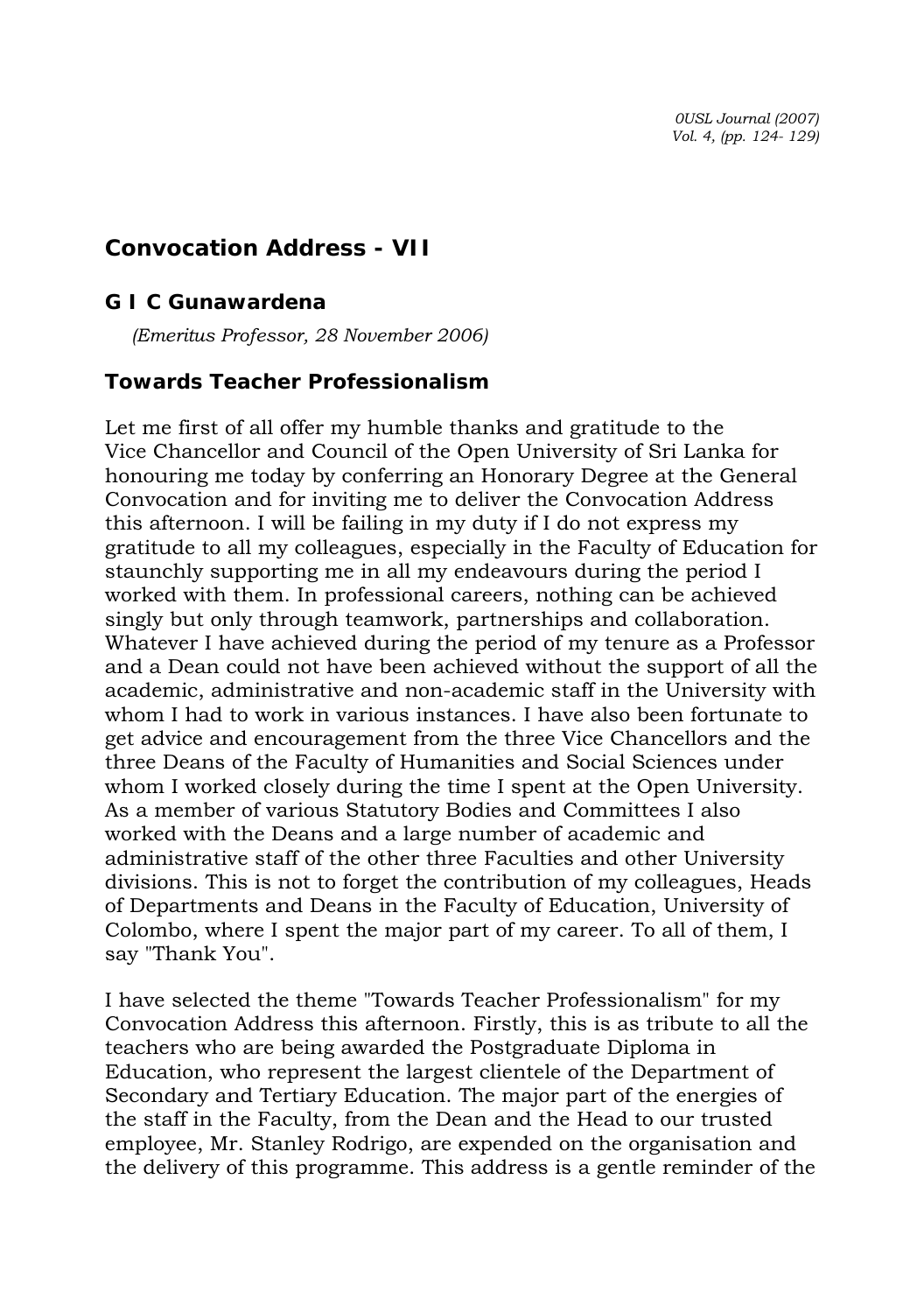*0USL Journal (2007) Vol. 4, (pp. 124- 129)* 

## **Convocation Address - VII**

## *G I C Gunawardena*

*(Emeritus Professor, 28 November 2006)* 

## **Towards Teacher Professionalism**

Let me first of all offer my humble thanks and gratitude to the Vice Chancellor and Council of the Open University of Sri Lanka for honouring me today by conferring an Honorary Degree at the General Convocation and for inviting me to deliver the Convocation Address this afternoon. I will be failing in my duty if I do not express my gratitude to all my colleagues, especially in the Faculty of Education for staunchly supporting me in all my endeavours during the period I worked with them. In professional careers, nothing can be achieved singly but only through teamwork, partnerships and collaboration. Whatever I have achieved during the period of my tenure as a Professor and a Dean could not have been achieved without the support of all the academic, administrative and non-academic staff in the University with whom I had to work in various instances. I have also been fortunate to get advice and encouragement from the three Vice Chancellors and the three Deans of the Faculty of Humanities and Social Sciences under whom I worked closely during the time I spent at the Open University. As a member of various Statutory Bodies and Committees I also worked with the Deans and a large number of academic and administrative staff of the other three Faculties and other University divisions. This is not to forget the contribution of my colleagues, Heads of Departments and Deans in the Faculty of Education, University of Colombo, where I spent the major part of my career. To all of them, I say "Thank You".

I have selected the theme "Towards Teacher Professionalism" for my Convocation Address this afternoon. Firstly, this is as tribute to all the teachers who are being awarded the Postgraduate Diploma in Education, who represent the largest clientele of the Department of Secondary and Tertiary Education. The major part of the energies of the staff in the Faculty, from the Dean and the Head to our trusted employee, Mr. Stanley Rodrigo, are expended on the organisation and the delivery of this programme. This address is a gentle reminder of the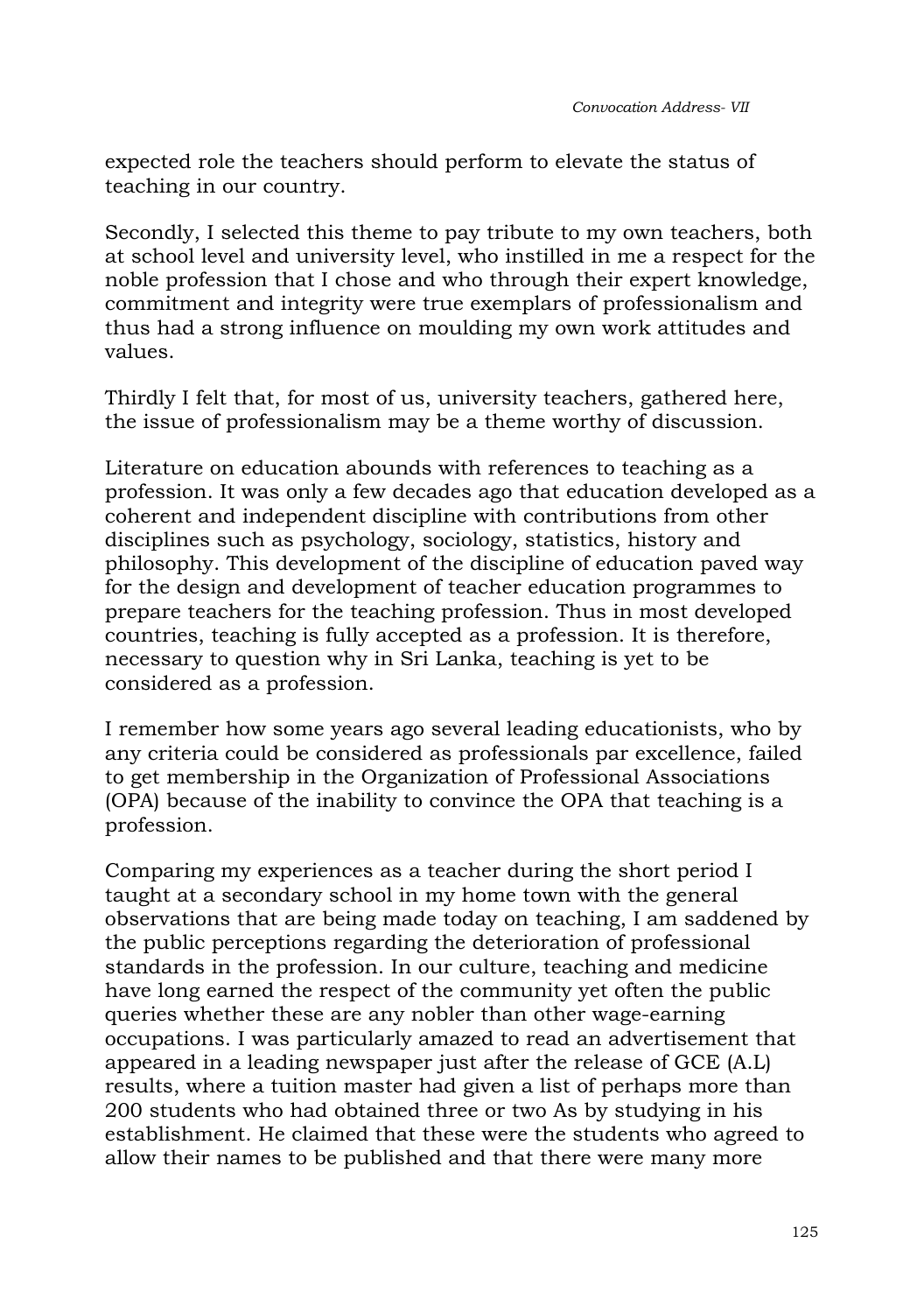expected role the teachers should perform to elevate the status of teaching in our country.

Secondly, I selected this theme to pay tribute to my own teachers, both at school level and university level, who instilled in me a respect for the noble profession that I chose and who through their expert knowledge, commitment and integrity were true exemplars of professionalism and thus had a strong influence on moulding my own work attitudes and values.

Thirdly I felt that, for most of us, university teachers, gathered here, the issue of professionalism may be a theme worthy of discussion.

Literature on education abounds with references to teaching as a profession. It was only a few decades ago that education developed as a coherent and independent discipline with contributions from other disciplines such as psychology, sociology, statistics, history and philosophy. This development of the discipline of education paved way for the design and development of teacher education programmes to prepare teachers for the teaching profession. Thus in most developed countries, teaching is fully accepted as a profession. It is therefore, necessary to question why in Sri Lanka, teaching is yet to be considered as a profession.

I remember how some years ago several leading educationists, who by any criteria could be considered as professionals par excellence, failed to get membership in the Organization of Professional Associations (OPA) because of the inability to convince the OPA that teaching is a profession.

Comparing my experiences as a teacher during the short period I taught at a secondary school in my home town with the general observations that are being made today on teaching, I am saddened by the public perceptions regarding the deterioration of professional standards in the profession. In our culture, teaching and medicine have long earned the respect of the community yet often the public queries whether these are any nobler than other wage-earning occupations. I was particularly amazed to read an advertisement that appeared in a leading newspaper just after the release of GCE (A.L) results, where a tuition master had given a list of perhaps more than 200 students who had obtained three or two As by studying in his establishment. He claimed that these were the students who agreed to allow their names to be published and that there were many more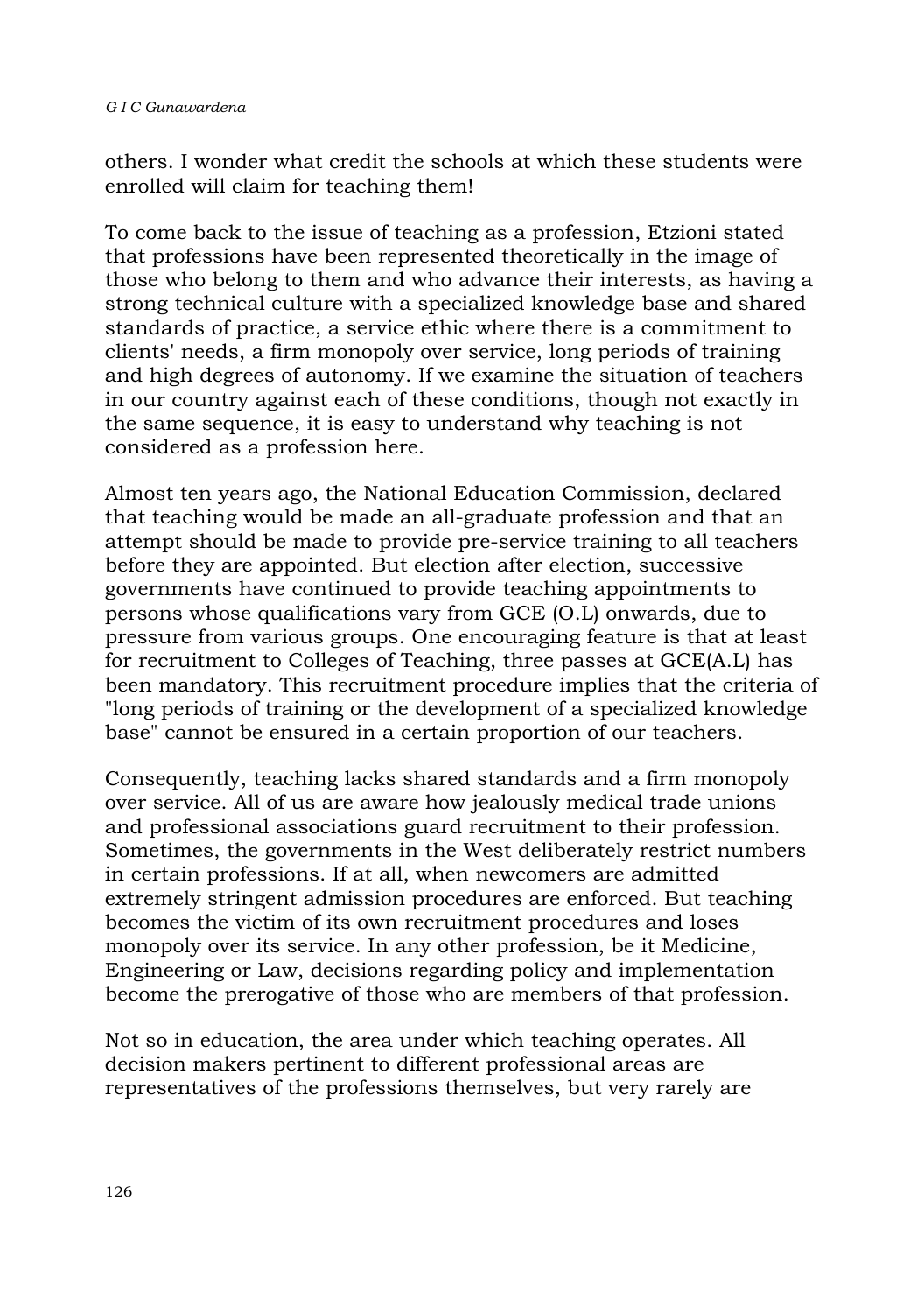others. I wonder what credit the schools at which these students were enrolled will claim for teaching them!

To come back to the issue of teaching as a profession, Etzioni stated that professions have been represented theoretically in the image of those who belong to them and who advance their interests, as having a strong technical culture with a specialized knowledge base and shared standards of practice, a service ethic where there is a commitment to clients' needs, a firm monopoly over service, long periods of training and high degrees of autonomy. If we examine the situation of teachers in our country against each of these conditions, though not exactly in the same sequence, it is easy to understand why teaching is not considered as a profession here.

Almost ten years ago, the National Education Commission, declared that teaching would be made an all-graduate profession and that an attempt should be made to provide pre-service training to all teachers before they are appointed. But election after election, successive governments have continued to provide teaching appointments to persons whose qualifications vary from GCE (O.L) onwards, due to pressure from various groups. One encouraging feature is that at least for recruitment to Colleges of Teaching, three passes at GCE(A.L) has been mandatory. This recruitment procedure implies that the criteria of "long periods of training or the development of a specialized knowledge base" cannot be ensured in a certain proportion of our teachers.

Consequently, teaching lacks shared standards and a firm monopoly over service. All of us are aware how jealously medical trade unions and professional associations guard recruitment to their profession. Sometimes, the governments in the West deliberately restrict numbers in certain professions. If at all, when newcomers are admitted extremely stringent admission procedures are enforced. But teaching becomes the victim of its own recruitment procedures and loses monopoly over its service. In any other profession, be it Medicine, Engineering or Law, decisions regarding policy and implementation become the prerogative of those who are members of that profession.

Not so in education, the area under which teaching operates. All decision makers pertinent to different professional areas are representatives of the professions themselves, but very rarely are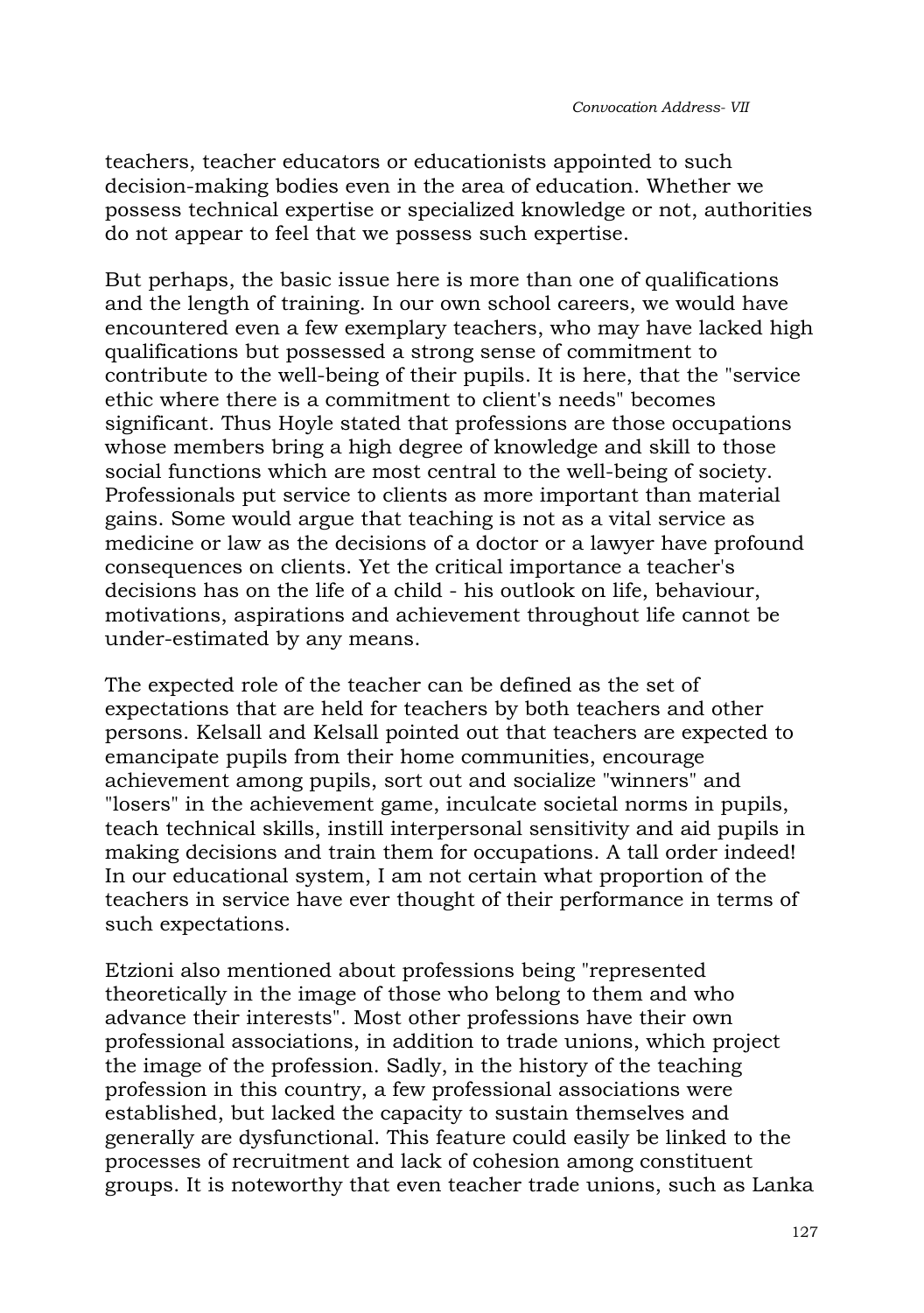teachers, teacher educators or educationists appointed to such decision-making bodies even in the area of education. Whether we possess technical expertise or specialized knowledge or not, authorities do not appear to feel that we possess such expertise.

But perhaps, the basic issue here is more than one of qualifications and the length of training. In our own school careers, we would have encountered even a few exemplary teachers, who may have lacked high qualifications but possessed a strong sense of commitment to contribute to the well-being of their pupils. It is here, that the "service ethic where there is a commitment to client's needs" becomes significant. Thus Hoyle stated that professions are those occupations whose members bring a high degree of knowledge and skill to those social functions which are most central to the well-being of society. Professionals put service to clients as more important than material gains. Some would argue that teaching is not as a vital service as medicine or law as the decisions of a doctor or a lawyer have profound consequences on clients. Yet the critical importance a teacher's decisions has on the life of a child - his outlook on life, behaviour, motivations, aspirations and achievement throughout life cannot be under-estimated by any means.

The expected role of the teacher can be defined as the set of expectations that are held for teachers by both teachers and other persons. Kelsall and Kelsall pointed out that teachers are expected to emancipate pupils from their home communities, encourage achievement among pupils, sort out and socialize "winners" and "losers" in the achievement game, inculcate societal norms in pupils, teach technical skills, instill interpersonal sensitivity and aid pupils in making decisions and train them for occupations. A tall order indeed! In our educational system, I am not certain what proportion of the teachers in service have ever thought of their performance in terms of such expectations.

Etzioni also mentioned about professions being "represented theoretically in the image of those who belong to them and who advance their interests". Most other professions have their own professional associations, in addition to trade unions, which project the image of the profession. Sadly, in the history of the teaching profession in this country, a few professional associations were established, but lacked the capacity to sustain themselves and generally are dysfunctional. This feature could easily be linked to the processes of recruitment and lack of cohesion among constituent groups. It is noteworthy that even teacher trade unions, such as Lanka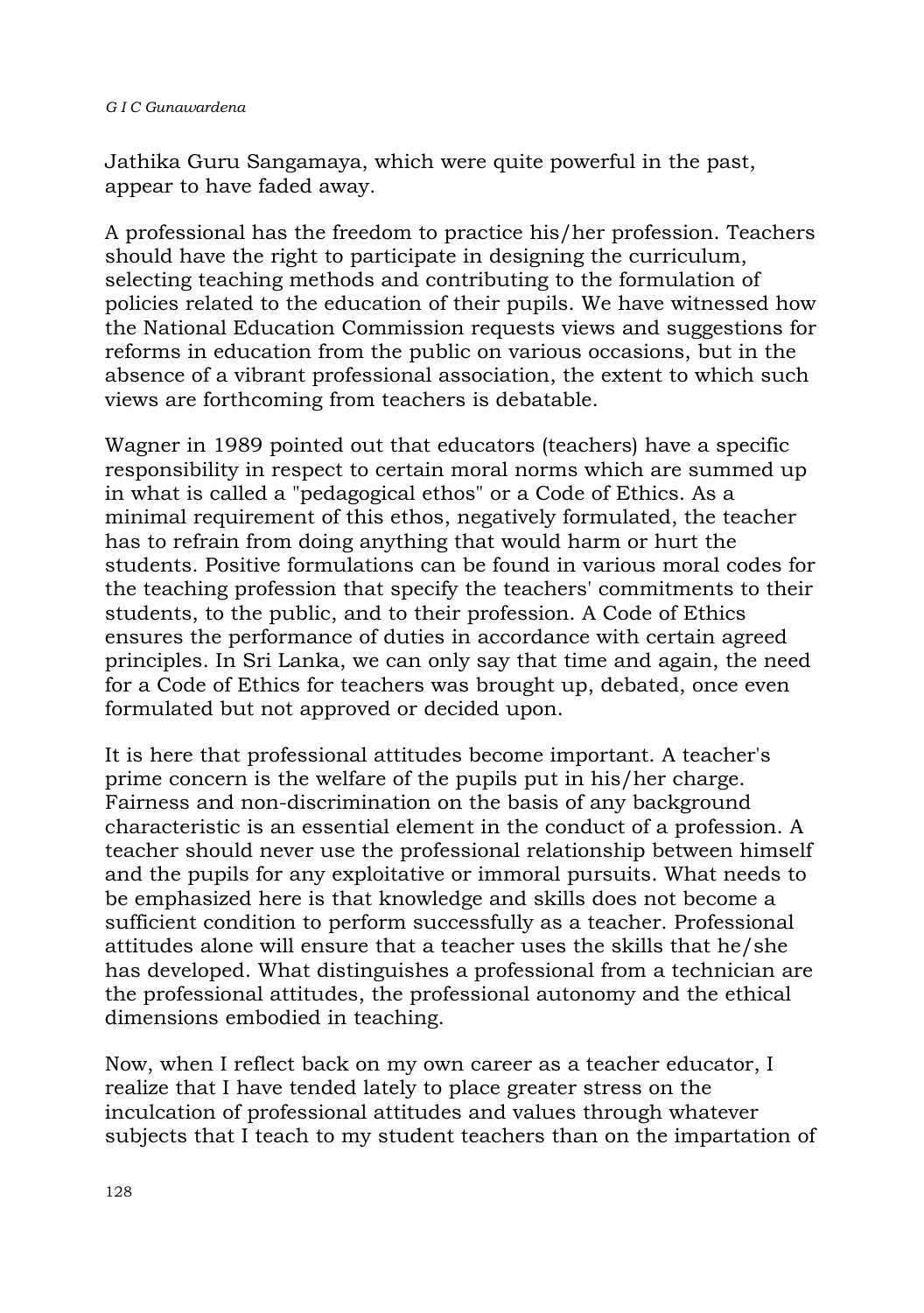Jathika Guru Sangamaya, which were quite powerful in the past, appear to have faded away.

A professional has the freedom to practice his/her profession. Teachers should have the right to participate in designing the curriculum, selecting teaching methods and contributing to the formulation of policies related to the education of their pupils. We have witnessed how the National Education Commission requests views and suggestions for reforms in education from the public on various occasions, but in the absence of a vibrant professional association, the extent to which such views are forthcoming from teachers is debatable.

Wagner in 1989 pointed out that educators (teachers) have a specific responsibility in respect to certain moral norms which are summed up in what is called a "pedagogical ethos" or a Code of Ethics. As a minimal requirement of this ethos, negatively formulated, the teacher has to refrain from doing anything that would harm or hurt the students. Positive formulations can be found in various moral codes for the teaching profession that specify the teachers' commitments to their students, to the public, and to their profession. A Code of Ethics ensures the performance of duties in accordance with certain agreed principles. In Sri Lanka, we can only say that time and again, the need for a Code of Ethics for teachers was brought up, debated, once even formulated but not approved or decided upon.

It is here that professional attitudes become important. A teacher's prime concern is the welfare of the pupils put in his/her charge. Fairness and non-discrimination on the basis of any background characteristic is an essential element in the conduct of a profession. A teacher should never use the professional relationship between himself and the pupils for any exploitative or immoral pursuits. What needs to be emphasized here is that knowledge and skills does not become a sufficient condition to perform successfully as a teacher. Professional attitudes alone will ensure that a teacher uses the skills that he/she has developed. What distinguishes a professional from a technician are the professional attitudes, the professional autonomy and the ethical dimensions embodied in teaching.

Now, when I reflect back on my own career as a teacher educator, I realize that I have tended lately to place greater stress on the inculcation of professional attitudes and values through whatever subjects that I teach to my student teachers than on the impartation of